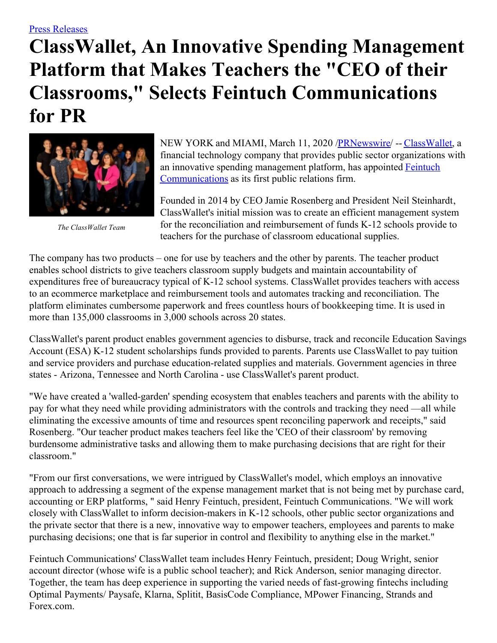## **ClassWallet, An Innovative Spending Management Platform that Makes Teachers the "CEO of their Classrooms, " Selects Feintuch Communications for PR**



*The ClassWallet Team*

NEW YORK and MIAMI, March 11, 2020 [/PRNewswire](http://www.prnewswire.com/)/ -- [ClassWallet](https://c212.net/c/link/?t=0&l=en&o=2746714-1&h=2150642590&u=http%3A%2F%2Fwww.classwallet.com%2F&a=ClassWallet), a financial technology company that provides public sector organizations with an innovative spending management platform, has appointed Feintuch [Communications](https://c212.net/c/link/?t=0&l=en&o=2746714-1&h=1291081277&u=http%3A%2F%2Fwww.feintuchcommunications.com%2F&a=Feintuch+Communications) as its first public relations firm.

Founded in 2014 by CEO Jamie Rosenberg and President Neil Steinhardt, ClassWallet's initial mission was to create an efficient management system for the reconciliation and reimbursement of funds K-12 schools provide to teachers for the purchase of classroom educational supplies.

The company has two products – one for use by teachers and the other by parents. The teacher product enables school districts to give teachers classroom supply budgets and maintain accountability of expenditures free of bureaucracy typical of K-12 school systems. ClassWallet provides teachers with access to an ecommerce marketplace and reimbursement tools and automates tracking and reconciliation. The platform eliminates cumbersome paperwork and frees countless hours of bookkeeping time. It is used in more than 135,000 classrooms in 3,000 schools across 20 states.

ClassWallet's parent product enables government agencies to disburse, track and reconcile Education Savings Account (ESA) K-12 student scholarships funds provided to parents. Parents use ClassWallet to pay tuition and service providers and purchase education-related supplies and materials. Government agencies in three states - Arizona, Tennessee and North Carolina - use ClassWallet's parent product.

"We have created a 'walled-garden' spending ecosystem that enables teachers and parents with the ability to pay for what they need while providing administrators with the controls and tracking they need —all while eliminating the excessive amounts of time and resources spent reconciling paperwork and receipts," said Rosenberg. "Our teacher product makes teachers feel like the 'CEO of their classroom' by removing burdensome administrative tasks and allowing them to make purchasing decisions that are right for their classroom."

"From our first conversations, we were intrigued by ClassWallet's model, which employs an innovative approach to addressing a segment of the expense management market that is not being met by purchase card, accounting or ERP platforms, " said Henry Feintuch, president, Feintuch Communications. "We will work closely with ClassWallet to inform decision-makers in K-12 schools, other public sector organizations and the private sector that there is a new, innovative way to empower teachers, employees and parents to make purchasing decisions; one that is far superior in control and flexibility to anything else in the market."

Feintuch Communications' ClassWallet team includes Henry Feintuch, president; Doug Wright, senior account director (whose wife is a public school teacher); and Rick Anderson, senior managing director. Together, the team has deep experience in supporting the varied needs of fast-growing fintechs including Optimal Payments/ Paysafe, Klarna, Splitit, BasisCode Compliance, MPower Financing, Strands and Forex.com.